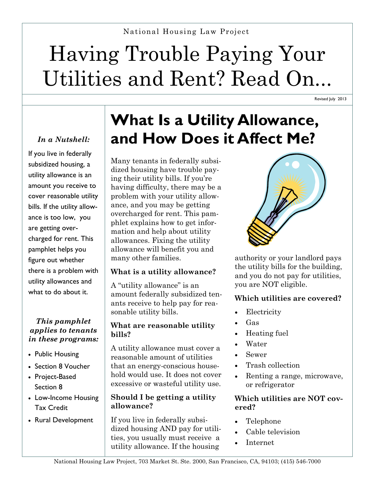# Having Trouble Paying Your Utilities and Rent? Read On...

Revised July 2013

If you live in federally subsidized housing, a utility allowance is an amount you receive to cover reasonable utility bills. If the utility allowance is too low, you are getting overcharged for rent. This pamphlet helps you figure out whether there is a problem with utility allowances and what to do about it.

#### *This pamphlet applies to tenants in these programs:*

- Public Housing
- Section 8 Voucher
- Project-Based Section 8
- Low-Income Housing Tax Credit
- Rural Development

## **What Is a Utility Allowance,**  *In a Nutshell:* **and How Does it Affect Me?**

Many tenants in federally subsidized housing have trouble paying their utility bills. If you're having difficulty, there may be a problem with your utility allowance, and you may be getting overcharged for rent. This pamphlet explains how to get information and help about utility allowances. Fixing the utility allowance will benefit you and many other families.

### **What is a utility allowance?**

A "utility allowance" is an amount federally subsidized tenants receive to help pay for reasonable utility bills.

#### **What are reasonable utility bills?**

A utility allowance must cover a reasonable amount of utilities that an energy-conscious household would use. It does not cover excessive or wasteful utility use.

#### **Should I be getting a utility allowance?**

If you live in federally subsidized housing AND pay for utilities, you usually must receive a utility allowance. If the housing



authority or your landlord pays the utility bills for the building, and you do not pay for utilities, you are NOT eligible.

### **Which utilities are covered?**

- Electricity
- Gas
- Heating fuel
- Water
- Sewer
- Trash collection
- Renting a range, microwave, or refrigerator

#### **Which utilities are NOT covered?**

- Telephone
- Cable television
- Internet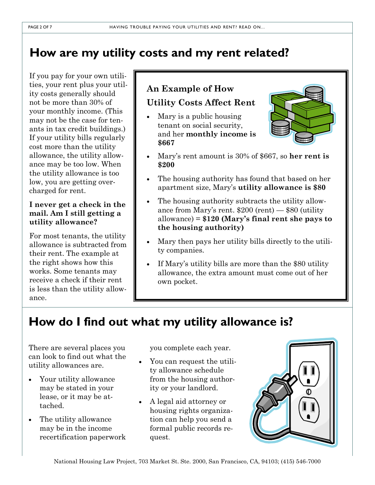### **How are my utility costs and my rent related?**

If you pay for your own utilities, your rent plus your utility costs generally should not be more than 30% of your monthly income. (This may not be the case for tenants in tax credit buildings.) If your utility bills regularly cost more than the utility allowance, the utility allowance may be too low. When the utility allowance is too low, you are getting overcharged for rent.

#### **I never get a check in the mail. Am I still getting a utility allowance?**

For most tenants, the utility allowance is subtracted from their rent. The example at the right shows how this works. Some tenants may receive a check if their rent is less than the utility allowance.

### **An Example of How**

#### **Utility Costs Affect Rent**

 Mary is a public housing tenant on social security, and her **monthly income is \$667**



- Mary's rent amount is 30% of \$667, so **her rent is \$200**
- The housing authority has found that based on her apartment size, Mary's **utility allowance is \$80**
- The housing authority subtracts the utility allowance from Mary's rent. \$200 (rent) — \$80 (utility allowance) = **\$120 (Mary's final rent she pays to the housing authority)**
- Mary then pays her utility bills directly to the utility companies.
- If Mary's utility bills are more than the \$80 utility allowance, the extra amount must come out of her own pocket.

### **How do I find out what my utility allowance is?**

There are several places you can look to find out what the utility allowances are.

- Your utility allowance may be stated in your lease, or it may be attached.
- The utility allowance may be in the income recertification paperwork

you complete each year.

- You can request the utility allowance schedule from the housing authority or your landlord.
- A legal aid attorney or housing rights organization can help you send a formal public records request.

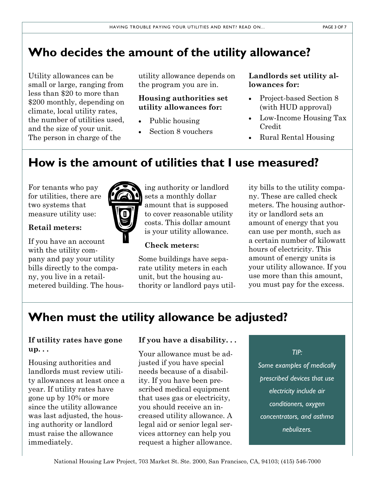## **Who decides the amount of the utility allowance?**

Utility allowances can be small or large, ranging from less than \$20 to more than \$200 monthly, depending on climate, local utility rates, the number of utilities used, and the size of your unit. The person in charge of the

utility allowance depends on the program you are in.

### **Housing authorities set utility allowances for:**

- Public housing
- Section 8 vouchers

**Landlords set utility allowances for:**

- Project-based Section 8 (with HUD approval)
- Low-Income Housing Tax Credit
- Rural Rental Housing

### **How is the amount of utilities that I use measured?**

For tenants who pay for utilities, there are two systems that measure utility use:



### **Retail meters:**

If you have an account with the utility company and pay your utility bills directly to the company, you live in a retailmetered building. The housing authority or landlord sets a monthly dollar amount that is supposed to cover reasonable utility costs. This dollar amount is your utility allowance.

### **Check meters:**

Some buildings have separate utility meters in each unit, but the housing authority or landlord pays utility bills to the utility company. These are called check meters. The housing authority or landlord sets an amount of energy that you can use per month, such as a certain number of kilowatt hours of electricity. This amount of energy units is your utility allowance. If you use more than this amount, you must pay for the excess.

### **When must the utility allowance be adjusted?**

### **If utility rates have gone up. . .**

Housing authorities and landlords must review utility allowances at least once a year. If utility rates have gone up by 10% or more since the utility allowance was last adjusted, the housing authority or landlord must raise the allowance immediately.

#### **If you have a disability. . .**

Your allowance must be adjusted if you have special needs because of a disability. If you have been prescribed medical equipment that uses gas or electricity, you should receive an increased utility allowance. A legal aid or senior legal services attorney can help you request a higher allowance.

*TIP:*

*Some examples of medically prescribed devices that use electricity include air conditioners, oxygen concentrators, and asthma nebulizers.*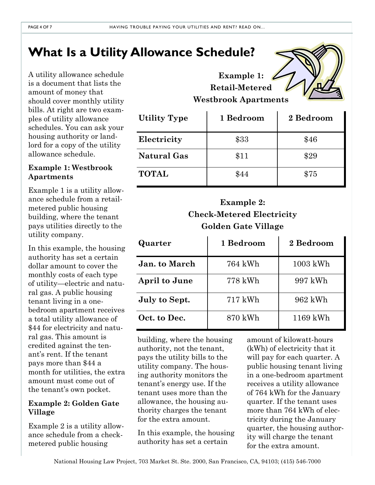## **What Is a Utility Allowance Schedule?**

A utility allowance schedule is a document that lists the amount of money that should cover monthly utility bills. At right are two examples of utility allowance schedules. You can ask your housing authority or landlord for a copy of the utility allowance schedule.

#### **Example 1: Westbrook Apartments**

Example 1 is a utility allowance schedule from a retailmetered public housing building, where the tenant pays utilities directly to the utility company.

In this example, the housing authority has set a certain dollar amount to cover the monthly costs of each type of utility—electric and natural gas. A public housing tenant living in a onebedroom apartment receives a total utility allowance of \$44 for electricity and natural gas. This amount is credited against the tenant's rent. If the tenant pays more than \$44 a month for utilities, the extra. amount must come out of the tenant's own pocket.

#### **Example 2: Golden Gate Village**

Example 2 is a utility allowance schedule from a checkmetered public housing

### **Example 1: Retail-Metered Westbrook Apartments**

| <b>Utility Type</b> | 1 Bedroom | 2 Bedroom |
|---------------------|-----------|-----------|
| Electricity         | \$33      | \$46      |
| <b>Natural Gas</b>  | \$11      | \$29      |
| <b>TOTAL</b>        | \$44      | \$75      |

### **Example 2: Check-Metered Electricity Golden Gate Village**

| Quarter              | 1 Bedroom | 2 Bedroom |
|----------------------|-----------|-----------|
| <b>Jan.</b> to March | 764 kWh   | 1003 kWh  |
| <b>April to June</b> | 778 kWh   | 997 kWh   |
| July to Sept.        | $717$ kWh | 962 kWh   |
| Oct. to Dec.         | 870 kWh   | 1169 kWh  |

building, where the housing authority, not the tenant, pays the utility bills to the utility company. The housing authority monitors the tenant's energy use. If the tenant uses more than the allowance, the housing authority charges the tenant for the extra amount.

In this example, the housing authority has set a certain

amount of kilowatt-hours (kWh) of electricity that it will pay for each quarter. A public housing tenant living in a one-bedroom apartment receives a utility allowance of 764 kWh for the January quarter. If the tenant uses more than 764 kWh of electricity during the January quarter, the housing authority will charge the tenant for the extra amount.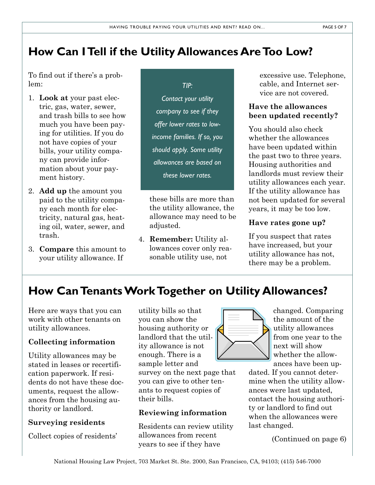### **How Can I Tell if the Utility Allowances Are Too Low?**

To find out if there's a problem:

- 1. **Look at** your past electric, gas, water, sewer, and trash bills to see how much you have been paying for utilities. If you do not have copies of your bills, your utility company can provide information about your payment history.
- 2. **Add up** the amount you paid to the utility company each month for electricity, natural gas, heating oil, water, sewer, and trash.
- 3. **Compare** this amount to your utility allowance. If

*TIP: Contact your utility company to see if they offer lower rates to lowincome families. If so, you should apply. Some utility allowances are based on these lower rates.* 

these bills are more than the utility allowance, the allowance may need to be adjusted.

4. **Remember:** Utility allowances cover only reasonable utility use, not

excessive use. Telephone, cable, and Internet service are not covered.

### **Have the allowances been updated recently?**

You should also check whether the allowances have been updated within the past two to three years. Housing authorities and landlords must review their utility allowances each year. If the utility allowance has not been updated for several years, it may be too low.

### **Have rates gone up?**

If you suspect that rates have increased, but your utility allowance has not, there may be a problem.

### **How Can Tenants Work Together on Utility Allowances?**

Here are ways that you can work with other tenants on utility allowances.

### **Collecting information**

Utility allowances may be stated in leases or recertification paperwork. If residents do not have these documents, request the allowances from the housing authority or landlord.

### **Surveying residents**

Collect copies of residents'

utility bills so that you can show the housing authority or landlord that the utility allowance is not enough. There is a sample letter and survey on the next page that you can give to other ten-

ants to request copies of their bills.

### **Reviewing information**

Residents can review utility allowances from recent years to see if they have

$$
\left\langle \begin{matrix} \frac{1}{\sqrt{2}} \\ \frac{1}{\sqrt{2}} \\ \frac{1}{\sqrt{2}} \end{matrix} \right\rangle
$$

changed. Comparing the amount of the utility allowances from one year to the next will show whether the allowances have been up-

dated. If you cannot determine when the utility allowances were last updated, contact the housing authority or landlord to find out when the allowances were last changed.

(Continued on page 6)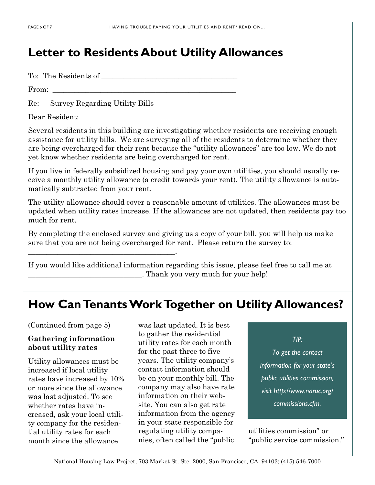### **Letter to Residents About Utility Allowances**

To: The Residents of

From:

Re: Survey Regarding Utility Bills

\_\_\_\_\_\_\_\_\_\_\_\_\_\_\_\_\_\_\_\_\_\_\_\_\_\_\_\_\_\_\_\_\_\_\_\_\_\_\_\_.

Dear Resident:

Several residents in this building are investigating whether residents are receiving enough assistance for utility bills. We are surveying all of the residents to determine whether they are being overcharged for their rent because the "utility allowances" are too low. We do not yet know whether residents are being overcharged for rent.

If you live in federally subsidized housing and pay your own utilities, you should usually receive a monthly utility allowance (a credit towards your rent). The utility allowance is automatically subtracted from your rent.

The utility allowance should cover a reasonable amount of utilities. The allowances must be updated when utility rates increase. If the allowances are not updated, then residents pay too much for rent.

By completing the enclosed survey and giving us a copy of your bill, you will help us make sure that you are not being overcharged for rent. Please return the survey to:

If you would like additional information regarding this issue, please feel free to call me at \_\_\_\_\_\_\_\_\_\_\_\_\_\_\_\_\_\_\_\_\_\_\_\_\_\_\_\_\_\_\_. Thank you very much for your help!

### **How Can Tenants Work Together on Utility Allowances?**

(Continued from page 5)

#### **Gathering information about utility rates**

Utility allowances must be increased if local utility rates have increased by 10% or more since the allowance was last adjusted. To see whether rates have increased, ask your local utility company for the residential utility rates for each month since the allowance

was last updated. It is best to gather the residential utility rates for each month for the past three to five years. The utility company's contact information should be on your monthly bill. The company may also have rate information on their website. You can also get rate information from the agency in your state responsible for regulating utility companies, often called the "public

*TIP:* 

*To get the contact information for your state's public utilities commission, visit http://www.naruc.org/ commissions.cfm.*

utilities commission" or "public service commission."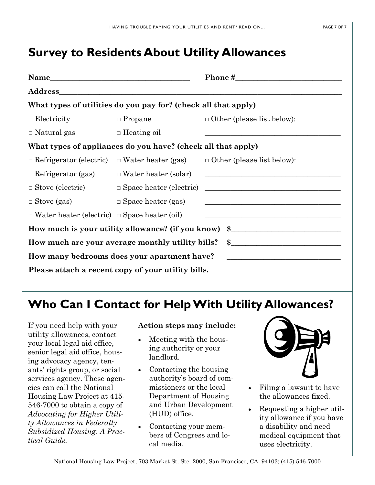### **Survey to Residents About Utility Allowances**

| Name                                                           |                                                          | Phone $\sharp$                                                                                                        |  |  |
|----------------------------------------------------------------|----------------------------------------------------------|-----------------------------------------------------------------------------------------------------------------------|--|--|
| Address_                                                       |                                                          |                                                                                                                       |  |  |
| What types of utilities do you pay for? (check all that apply) |                                                          |                                                                                                                       |  |  |
| $\Box$ Electricity                                             | $\Box$ Propane                                           | $\Box$ Other (please list below):                                                                                     |  |  |
| $\Box$ Natural gas                                             | $\Box$ Heating oil                                       |                                                                                                                       |  |  |
| What types of appliances do you have? (check all that apply)   |                                                          |                                                                                                                       |  |  |
|                                                                | $\Box$ Refrigerator (electric) $\Box$ Water heater (gas) | $\Box$ Other (please list below):                                                                                     |  |  |
| $\Box$ Refrigerator (gas)                                      | $\Box$ Water heater (solar)                              | <u> 1989 - Johann Barbara, margaret eta idazlea (h. 1989).</u>                                                        |  |  |
| $\Box$ Stove (electric)                                        | $\Box$ Space heater (electric)                           | <u> 1989 - Johann Barn, mars ann an t-Amhain Aonaich an t-Aonaich an t-Aonaich an t-Aonaich an t-Aonaich an t-Aon</u> |  |  |
| $\Box$ Stove (gas)                                             | $\Box$ Space heater (gas)                                | the control of the control of the control of the control of the control of the control of the                         |  |  |
| $\Box$ Water heater (electric) $\Box$ Space heater (oil)       |                                                          |                                                                                                                       |  |  |
| How much is your utility allowance? (if you know) \$           |                                                          |                                                                                                                       |  |  |
| How much are your average monthly utility bills?               |                                                          |                                                                                                                       |  |  |
| How many bedrooms does your apartment have?                    |                                                          |                                                                                                                       |  |  |
| Please attach a recent copy of your utility bills.             |                                                          |                                                                                                                       |  |  |

### **Who Can I Contact for Help With Utility Allowances?**

If you need help with your utility allowances, contact your local legal aid office, senior legal aid office, housing advocacy agency, tenants' rights group, or social services agency. These agencies can call the National Housing Law Project at 415- 546-7000 to obtain a copy of *Advocating for Higher Utility Allowances in Federally Subsidized Housing: A Practical Guide.*

#### **Action steps may include:**

- Meeting with the housing authority or your landlord.
- Contacting the housing authority's board of commissioners or the local Department of Housing and Urban Development (HUD) office.
- Contacting your members of Congress and local media.



- Filing a lawsuit to have the allowances fixed.
- Requesting a higher utility allowance if you have a disability and need medical equipment that uses electricity.